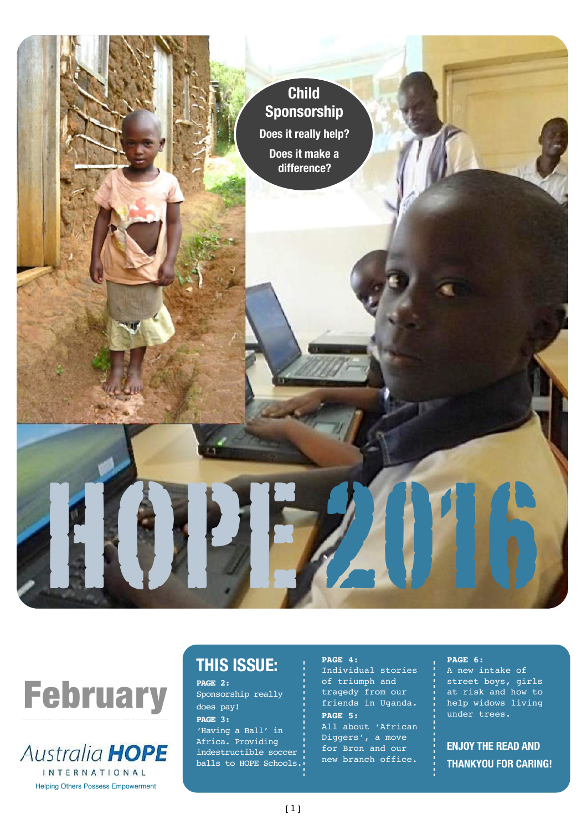





# **THIS ISSUE:**

**PAGE 2:** Sponsorship really does pay! **PAGE 3:** 'Having a Ball' in Africa. Providing indestructible soccer balls to HOPE Schools.

#### **PAGE 4:**

Individual stories of triumph and tragedy from our friends in Uganda. **PAGE 5:**

All about 'African Diggers', a move for Bron and our new branch office.

#### **PAGE 6:**

A new intake of street boys, girls at risk and how to help widows living under trees.

**ENJOY THE READ AND THANKYOU FOR CARING!**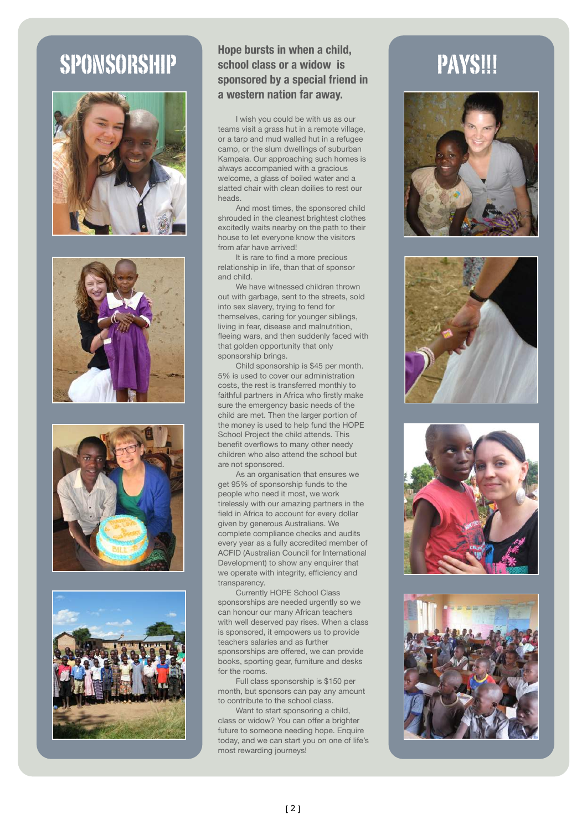







#### SPONSORSHIP Hope bursts in when a child, **PAYS!!! school class or a widow is sponsored by a special friend in a western nation far away.**

I wish you could be with us as our teams visit a grass hut in a remote village, or a tarp and mud walled hut in a refugee camp, or the slum dwellings of suburban Kampala. Our approaching such homes is always accompanied with a gracious welcome, a glass of boiled water and a slatted chair with clean doilies to rest our heads.

And most times, the sponsored child shrouded in the cleanest brightest clothes excitedly waits nearby on the path to their house to let everyone know the visitors from afar have arrived!

It is rare to find a more precious relationship in life, than that of sponsor and child.

We have witnessed children thrown out with garbage, sent to the streets, sold into sex slavery, trying to fend for themselves, caring for younger siblings, living in fear, disease and malnutrition, fleeing wars, and then suddenly faced with that golden opportunity that only sponsorship brings.

Child sponsorship is \$45 per month. 5% is used to cover our administration costs, the rest is transferred monthly to faithful partners in Africa who firstly make sure the emergency basic needs of the child are met. Then the larger portion of the money is used to help fund the HOPE School Project the child attends. This benefit overflows to many other needy children who also attend the school but are not sponsored.

As an organisation that ensures we get 95% of sponsorship funds to the people who need it most, we work tirelessly with our amazing partners in the field in Africa to account for every dollar given by generous Australians. We complete compliance checks and audits every year as a fully accredited member of ACFID (Australian Council for International Development) to show any enquirer that we operate with integrity, efficiency and transparency.

Currently HOPE School Class sponsorships are needed urgently so we can honour our many African teachers with well deserved pay rises. When a class is sponsored, it empowers us to provide teachers salaries and as further sponsorships are offered, we can provide books, sporting gear, furniture and desks for the rooms.

Full class sponsorship is \$150 per month, but sponsors can pay any amount to contribute to the school class.

Want to start sponsoring a child, class or widow? You can offer a brighter future to someone needing hope. Enquire today, and we can start you on one of life's most rewarding journeys!







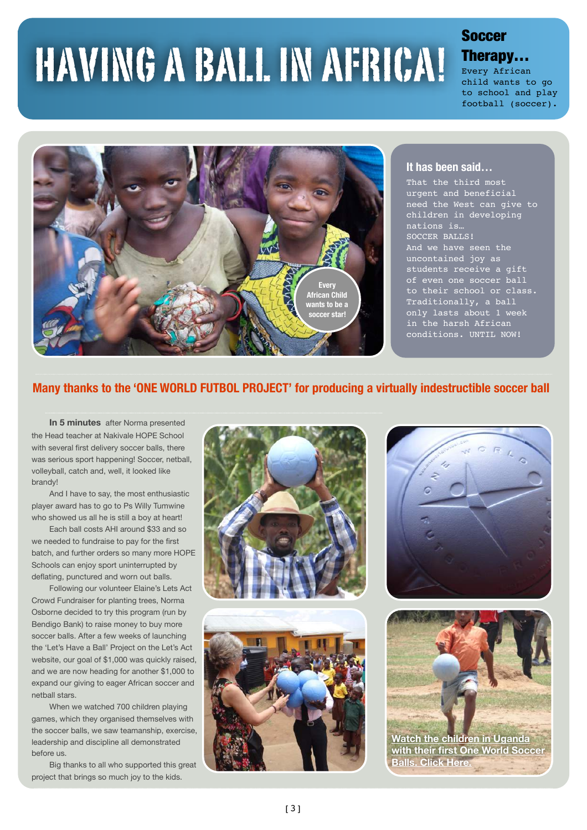# HAVING A BALL IN AFRICA!

## **Soccer** Therapy…

Every African child wants to go to school and play football (soccer).



#### **It has been said…**

That the third most urgent and beneficial need the West can give to children in developing nations is… SOCCER BALLS! And we have seen the uncontained joy as students receive a gift of even one soccer ball to their school or class. Traditionally, a ball only lasts about 1 week in the harsh African conditions. UNTIL NOW!

#### **Many thanks to the 'ONE WORLD FUTBOL PROJECT' for producing a virtually indestructible soccer ball**

**In 5 minutes** after Norma presented the Head teacher at Nakivale HOPE School with several first delivery soccer balls, there was serious sport happening! Soccer, netball, volleyball, catch and, well, it looked like brandy!

And I have to say, the most enthusiastic player award has to go to Ps Willy Tumwine who showed us all he is still a boy at heart!

Each ball costs AHI around \$33 and so we needed to fundraise to pay for the first batch, and further orders so many more HOPE Schools can enjoy sport uninterrupted by deflating, punctured and worn out balls.

Following our volunteer Elaine's Lets Act Crowd Fundraiser for planting trees, Norma Osborne decided to try this program (run by Bendigo Bank) to raise money to buy more soccer balls. After a few weeks of launching the 'Let's Have a Ball' Project on the Let's Act website, our goal of \$1,000 was quickly raised, and we are now heading for another \$1,000 to expand our giving to eager African soccer and netball stars.

When we watched 700 children playing games, which they organised themselves with the soccer balls, we saw teamanship, exercise, leadership and discipline all demonstrated before us.

Big thanks to all who supported this great project that brings so much joy to the kids.









**[with their first One World Soccer](https://letsact.com.au/projects/lets-have-a-ball/#updates)  Balls. Click Here.**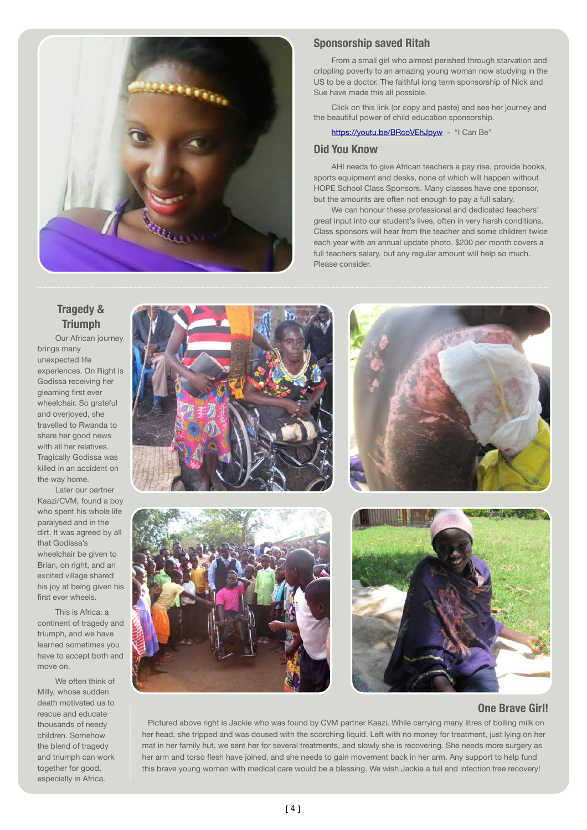

#### **Sponsorship saved Ritah**

From a small girl who almost perished through starvation and crippling poverty to an amazing young woman now studying in the US to be a doctor. The faithful long term sponsorship of Nick and Sue have made this all possible.

Click on this link (or copy and paste) and see her journey and the beautiful power of child education sponsorship.

<https://youtu.be/BRcoVEhJpyw>- "I Can Be"

#### **Did You Know**

AHI needs to give African teachers a pay rise, provide books, sports equipment and desks, none of which will happen without HOPE School Class Sponsors. Many classes have one sponsor, but the amounts are often not enough to pay a full salary.

We can honour these professional and dedicated teachers' great input into our student's lives, often in very harsh conditions. Class sponsors will hear from the teacher and some children twice each year with an annual update photo. \$200 per month covers a full teachers salary, but any regular amount will help so much. Please consider.

#### **Tragedy & Triumph**

Our African journey brings many unexpected life experiences. On Right is Godissa receiving her gleaming first ever wheelchair. So grateful and overjoyed, she travelled to Rwanda to share her good news with all her relatives. Tragically Godissa was killed in an accident on the way home.

Later our partner Kaazi/CVM, found a boy who spent his whole life paralysed and in the dirt. It was agreed by all that Godissa's wheelchair be given to Brian, on right, and an excited village shared his joy at being given his first ever wheels.

This is Africa: a continent of tragedy and triumph, and we have learned sometimes you have to accept both and move on.

We often think of Milly, whose sudden death motivated us to rescue and educate thousands of needy children. Somehow the blend of tragedy and triumph can work together for good, especially in Africa.



#### **One Brave Girl!**

Pictured above right is Jackie who was found by CVM partner Kaazi. While carrying many litres of boiling milk on her head, she tripped and was doused with the scorching liquid. Left with no money for treatment, just lying on her mat in her family hut, we sent her for several treatments, and slowly she is recovering. She needs more surgery as her arm and torso flesh have joined, and she needs to gain movement back in her arm. Any support to help fund this brave young woman with medical care would be a blessing. We wish Jackie a full and infection free recovery!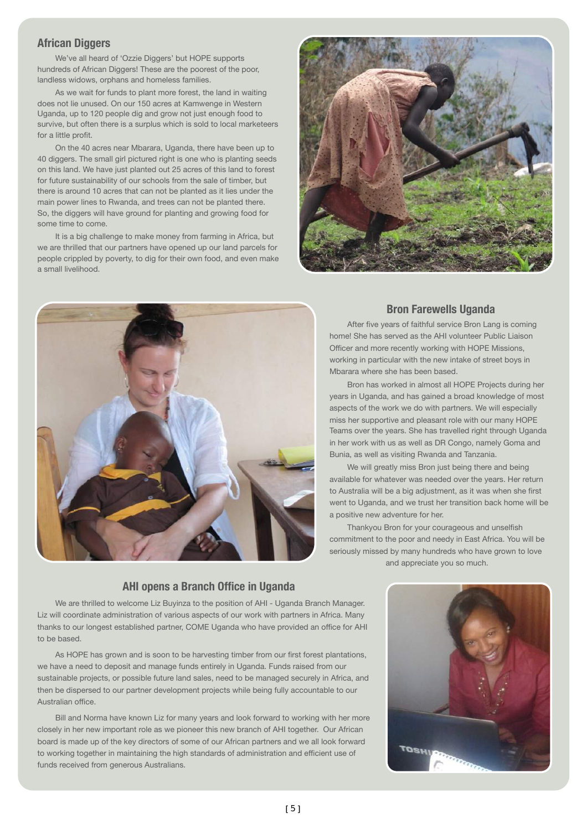#### **African Diggers**

We've all heard of 'Ozzie Diggers' but HOPE supports hundreds of African Diggers! These are the poorest of the poor, landless widows, orphans and homeless families.

As we wait for funds to plant more forest, the land in waiting does not lie unused. On our 150 acres at Kamwenge in Western Uganda, up to 120 people dig and grow not just enough food to survive, but often there is a surplus which is sold to local marketeers for a little profit.

On the 40 acres near Mbarara, Uganda, there have been up to 40 diggers. The small girl pictured right is one who is planting seeds on this land. We have just planted out 25 acres of this land to forest for future sustainability of our schools from the sale of timber, but there is around 10 acres that can not be planted as it lies under the main power lines to Rwanda, and trees can not be planted there. So, the diggers will have ground for planting and growing food for some time to come.

It is a big challenge to make money from farming in Africa, but we are thrilled that our partners have opened up our land parcels for people crippled by poverty, to dig for their own food, and even make a small livelihood.





#### **Bron Farewells Uganda**

After five years of faithful service Bron Lang is coming home! She has served as the AHI volunteer Public Liaison Officer and more recently working with HOPE Missions, working in particular with the new intake of street boys in Mbarara where she has been based.

Bron has worked in almost all HOPE Projects during her years in Uganda, and has gained a broad knowledge of most aspects of the work we do with partners. We will especially miss her supportive and pleasant role with our many HOPE Teams over the years. She has travelled right through Uganda in her work with us as well as DR Congo, namely Goma and Bunia, as well as visiting Rwanda and Tanzania.

We will greatly miss Bron just being there and being available for whatever was needed over the years. Her return to Australia will be a big adjustment, as it was when she first went to Uganda, and we trust her transition back home will be a positive new adventure for her.

Thankyou Bron for your courageous and unselfish commitment to the poor and needy in East Africa. You will be seriously missed by many hundreds who have grown to love and appreciate you so much.

## **AHI opens a Branch Office in Uganda**

We are thrilled to welcome Liz Buyinza to the position of AHI - Uganda Branch Manager. Liz will coordinate administration of various aspects of our work with partners in Africa. Many thanks to our longest established partner, COME Uganda who have provided an office for AHI to be based.

As HOPE has grown and is soon to be harvesting timber from our first forest plantations, we have a need to deposit and manage funds entirely in Uganda. Funds raised from our sustainable projects, or possible future land sales, need to be managed securely in Africa, and then be dispersed to our partner development projects while being fully accountable to our Australian office.

Bill and Norma have known Liz for many years and look forward to working with her more closely in her new important role as we pioneer this new branch of AHI together. Our African board is made up of the key directors of some of our African partners and we all look forward to working together in maintaining the high standards of administration and efficient use of funds received from generous Australians.